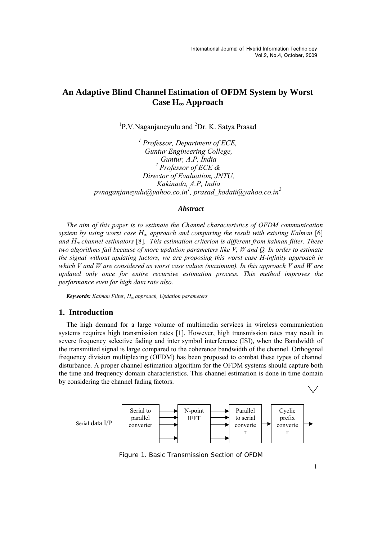# **An Adaptive Blind Channel Estimation of OFDM System by Worst Case H**∞ **Approach**

<sup>1</sup>P.V.Naganjaneyulu and <sup>2</sup>Dr. K. Satya Prasad

*1 Professor, Department of ECE, Guntur Engineering College, Guntur, A.P, India 2 Professor of ECE & Director of Evaluation, JNTU, Kakinada, A.P, India pvnaganjaneyulu@yahoo.co.in<sup>1</sup> , prasad\_kodati@yahoo.co.in<sup>2</sup>*

## *Abstract*

*The aim of this paper is to estimate the Channel characteristics of OFDM communication system by using worst case*  $H_{\infty}$  *approach and comparing the result with existing Kalman* [6] *and H<sup>∞</sup> channel estimators* [8]*. This estimation criterion is different from kalman filter. These two algorithms fail because of more updation parameters like V, W and Q. In order to estimate the signal without updating factors, we are proposing this worst case H-infinity approach in which V and W are considered as worst case values (maximum). In this approach V and W are updated only once for entire recursive estimation process. This method improves the performance even for high data rate also.* 

*Keywords: Kalman Filter, H∞ approach, Updation parameters* 

## **1. Introduction**

The high demand for a large volume of multimedia services in wireless communication systems requires high transmission rates [1]. However, high transmission rates may result in severe frequency selective fading and inter symbol interference (ISI), when the Bandwidth of the transmitted signal is large compared to the coherence bandwidth of the channel. Orthogonal frequency division multiplexing (OFDM) has been proposed to combat these types of channel disturbance. A proper channel estimation algorithm for the OFDM systems should capture both the time and frequency domain characteristics. This channel estimation is done in time domain by considering the channel fading factors.



Figure 1. Basic Transmission Section of OFDM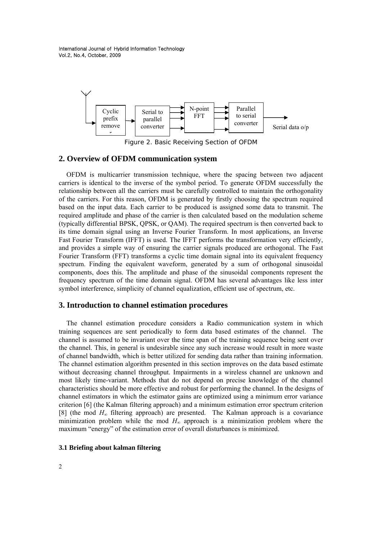International Journal of Hybrid Information Technology Vol.2, No.4, October, 2009



Figure 2. Basic Receiving Section of OFDM

## **2. Overview of OFDM communication system**

OFDM is multicarrier transmission technique, where the spacing between two adjacent carriers is identical to the inverse of the symbol period. To generate OFDM successfully the relationship between all the carriers must be carefully controlled to maintain the orthogonality of the carriers. For this reason, OFDM is generated by firstly choosing the spectrum required based on the input data. Each carrier to be produced is assigned some data to transmit. The required amplitude and phase of the carrier is then calculated based on the modulation scheme (typically differential BPSK, QPSK, or QAM). The required spectrum is then converted back to its time domain signal using an Inverse Fourier Transform. In most applications, an Inverse Fast Fourier Transform (IFFT) is used. The IFFT performs the transformation very efficiently, and provides a simple way of ensuring the carrier signals produced are orthogonal. The Fast Fourier Transform (FFT) transforms a cyclic time domain signal into its equivalent frequency spectrum. Finding the equivalent waveform, generated by a sum of orthogonal sinusoidal components, does this. The amplitude and phase of the sinusoidal components represent the frequency spectrum of the time domain signal. OFDM has several advantages like less inter symbol interference, simplicity of channel equalization, efficient use of spectrum, etc.

## **3. Introduction to channel estimation procedures**

The channel estimation procedure considers a Radio communication system in which training sequences are sent periodically to form data based estimates of the channel. The channel is assumed to be invariant over the time span of the training sequence being sent over the channel. This, in general is undesirable since any such increase would result in more waste of channel bandwidth, which is better utilized for sending data rather than training information. The channel estimation algorithm presented in this section improves on the data based estimate without decreasing channel throughput. Impairments in a wireless channel are unknown and most likely time-variant. Methods that do not depend on precise knowledge of the channel characteristics should be more effective and robust for performing the channel. In the designs of channel estimators in which the estimator gains are optimized using a minimum error variance criterion [6] (the Kalman filtering approach) and a minimum estimation error spectrum criterion [8] (the mod *H∞* filtering approach) are presented. The Kalman approach is a covariance minimization problem while the mod  $H_{\infty}$  approach is a minimization problem where the maximum "energy" of the estimation error of overall disturbances is minimized.

### **3.1 Briefing about kalman filtering**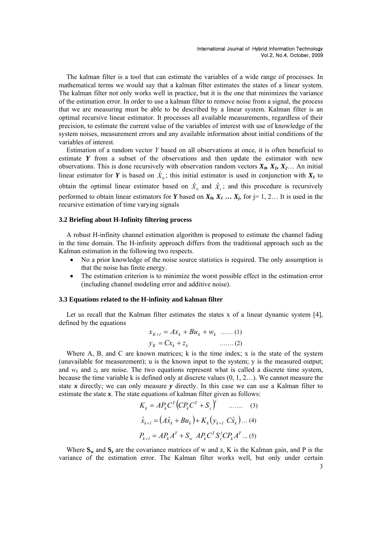#### International Journal of Hybrid Information Technology Vol.2, No.4, October, 2009

The kalman filter is a tool that can estimate the variables of a wide range of processes. In mathematical terms we would say that a kalman filter estimates the states of a linear system. The kalman filter not only works well in practice, but it is the one that minimizes the variance of the estimation error. In order to use a kalman filter to remove noise from a signal, the process that we are measuring must be able to be described by a linear system. Kalman filter is an optimal recursive linear estimator. It processes all available measurements, regardless of their precision, to estimate the current value of the variables of interest with use of knowledge of the system noises, measurement errors and any available information about initial conditions of the variables of interest.

Estimation of a random vector *Y* based on all observations at once, it is often beneficial to estimate *Y* from a subset of the observations and then update the estimator with new observations. This is done recursively with observation random vectors  $X_0$ ,  $X_1$ ,  $X_2$ ... An initial linear estimator for *Y* is based on  $\hat{X}_0$ ; this initial estimator is used in conjunction with  $X_I$  to obtain the optimal linear estimator based on  $\hat{X}_0$  and  $\hat{X}_1$ ; and this procedure is recursively performed to obtain linear estimators for *Y* based on  $X_0$ ,  $X_1$   $\ldots$   $X_j$ , for j= 1, 2... It is used in the recursive estimation of time varying signals

#### **3.2 Briefing about H-Infinity filtering process**

A robust H-infinity channel estimation algorithm is proposed to estimate the channel fading in the time domain. The H-infinity approach differs from the traditional approach such as the Kalman estimation in the following two respects.

- No a prior knowledge of the noise source statistics is required. The only assumption is that the noise has finite energy.
- The estimation criterion is to minimize the worst possible effect in the estimation error (including channel modeling error and additive noise).

#### **3.3 Equations related to the H-infinity and kalman filter**

Let us recall that the Kalman filter estimates the states x of a linear dynamic system [4], defined by the equations

$$
x_{K+1} = Ax_k + Bu_k + w_k \quad \dots (1)
$$
  

$$
y_K = Cx_k + z_k \quad \dots (2)
$$

Where A, B, and C are known matrices; k is the time index; x is the state of the system (unavailable for measurement); u is the known input to the system; y is the measured output; and  $w_k$  and  $z_k$  are noise. The two equations represent what is called a discrete time system, because the time variable k is defined only at discrete values (0, 1, 2…). We cannot measure the state *x* directly; we can only measure *y* directly. In this case we can use a Kalman filter to estimate the state *x*. The state equations of kalman filter given as follows:

$$
K_{k} = AP_{k}C^{T}(CP_{k}C^{T} + S_{z})' \qquad \dots \dots \qquad (3)
$$

$$
\hat{x}_{k+1} = (A\hat{x}_{k} + Bu_{k}) + K_{k}(y_{k+1} C\hat{x}_{k}) \dots (4)
$$

$$
P_{k+1} = AP_{k}A^{T} + S_{w} AP_{k}C^{T}S_{z}^{T}CP_{k}A^{T} \dots (5)
$$

Where  $S_w$  and  $S_z$  are the covariance matrices of w and z, K is the Kalman gain, and P is the variance of the estimation error. The Kalman filter works well, but only under certain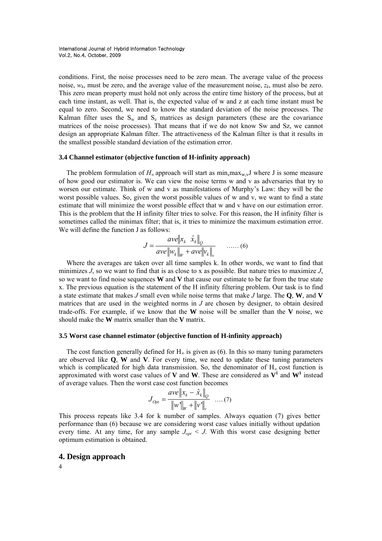#### International Journal of Hybrid Information Technology Vol.2, No.4, October, 2009

conditions. First, the noise processes need to be zero mean. The average value of the process noise,  $w_k$ , must be zero, and the average value of the measurement noise,  $z_k$ , must also be zero. This zero mean property must hold not only across the entire time history of the process, but at each time instant, as well. That is, the expected value of w and z at each time instant must be equal to zero. Second, we need to know the standard deviation of the noise processes. The Kalman filter uses the  $S_w$  and  $S_z$  matrices as design parameters (these are the covariance matrices of the noise processes). That means that if we do not know Sw and Sz, we cannot design an appropriate Kalman filter. The attractiveness of the Kalman filter is that it results in the smallest possible standard deviation of the estimation error.

#### **3.4 Channel estimator (objective function of H-infinity approach)**

The problem formulation of  $H_{\infty}$  approach will start as  $\min_{x} \max_{w,y} J$  where J is some measure of how good our estimator is. We can view the noise terms w and v as adversaries that try to worsen our estimate. Think of w and v as manifestations of Murphy's Law: they will be the worst possible values. So, given the worst possible values of w and v, we want to find a state estimate that will minimize the worst possible effect that w and v have on our estimation error. This is the problem that the H infinity filter tries to solve. For this reason, the H infinity filter is sometimes called the minimax filter; that is, it tries to minimize the maximum estimation error. We will define the function J as follows:

$$
J = \frac{ave||x_k \hat{x}_k||_Q}{ave||w_k||_w + ave||v_k||_v}
$$
 ...... (6)

Where the averages are taken over all time samples k. In other words, we want to find that minimizes *J*, so we want to find that is as close to x as possible. But nature tries to maximize *J*, so we want to find noise sequences **W** and **V** that cause our estimate to be far from the true state x. The previous equation is the statement of the H infinity filtering problem. Our task is to find a state estimate that makes *J* small even while noise terms that make *J* large. The **Q**, **W**, and **V** matrices that are used in the weighted norms in *J* are chosen by designer, to obtain desired trade-offs. For example, if we know that the **W** noise will be smaller than the **V** noise, we should make the **W** matrix smaller than the **V** matrix.

#### **3.5 Worst case channel estimator (objective function of H-infinity approach)**

The cost function generally defined for  $H_{\infty}$  is given as (6). In this so many tuning parameters are observed like **Q**, **W** and **V**. For every time, we need to update these tuning parameters which is complicated for high data transmission. So, the denominator of  $H_{\infty}$  cost function is approximated with worst case values of **V** and **W**. These are considered as  $V^1$  and  $W^1$  instead of average values. Then the worst case cost function becomes

$$
J_{Opt} = \frac{ave \|x_k - \hat{x}_k\|_Q}{\|w'\|_W + \|v'\|_v} \quad .... (7)
$$

This process repeats like 3.4 for k number of samples. Always equation (7) gives better performance than (6) because we are considering worst case values initially without updation every time. At any time, for any sample  $J_{opt} < J$ . With this worst case designing better optimum estimation is obtained.

## **4. Design approach**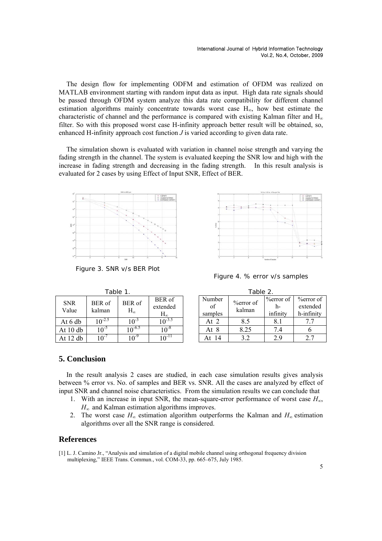The design flow for implementing ODFM and estimation of OFDM was realized on MATLAB environment starting with random input data as input. High data rate signals should be passed through OFDM system analyze this data rate compatibility for different channel estimation algorithms mainly concentrate towards worst case H∞, how best estimate the characteristic of channel and the performance is compared with existing Kalman filter and  $H_{\infty}$ filter. So with this proposed worst case H-infinity approach better result will be obtained, so, enhanced H-infinity approach cost function *J* is varied according to given data rate.

The simulation shown is evaluated with variation in channel noise strength and varying the fading strength in the channel. The system is evaluated keeping the SNR low and high with the increase in fading strength and decreasing in the fading strength. In this result analysis is evaluated for 2 cases by using Effect of Input SNR, Effect of BER.



Figure 3. SNR v/s BER Plot



Figure 4. % error v/s samples

| Table 1.            |                  |                            |                                    |  | Table 2.                |                        |                                |                                             |
|---------------------|------------------|----------------------------|------------------------------------|--|-------------------------|------------------------|--------------------------------|---------------------------------------------|
| <b>SNR</b><br>Value | BER of<br>kalman | BER of<br>$\rm H_{\infty}$ | BER of<br>extended<br>$H_{\infty}$ |  | Number<br>of<br>samples | $%$ error of<br>kalman | $%$ error of<br>h-<br>infinity | <i>Y</i> error of<br>extended<br>h-infinity |
| At 6 db             | 1 $0^{-2.5}$     | 1∩∹                        | $0^{-3.5}$                         |  | At 2                    | 8.5                    | 8.1                            |                                             |
| At 10 db            | $10^{-5}$        | $10^{-6.5}$                | $10^{-8}$                          |  | At $8$                  | 8.25                   | 7.4                            |                                             |
| At 12 db            | $10^{-7}$        | ל־1∩                       | $10^{-11}$                         |  | At 14                   | 3.2                    | 2.9                            | 2.7                                         |

## **5. Conclusion**

In the result analysis 2 cases are studied, in each case simulation results gives analysis between % error vs. No. of samples and BER vs. SNR. All the cases are analyzed by effect of input SNR and channel noise characteristics. From the simulation results we can conclude that

- 1. With an increase in input SNR, the mean-square-error performance of worst case *H∞*, *H<sup>∞</sup>* and Kalman estimation algorithms improves.
- 2. The worst case  $H_\infty$  estimation algorithm outperforms the Kalman and  $H_\infty$  estimation algorithms over all the SNR range is considered.

## **References**

[1] L. J. Camino Jr., "Analysis and simulation of a digital mobile channel using orthogonal frequency division multiplexing," IEEE Trans. Commun., vol. COM-33, pp. 665–675, July 1985.